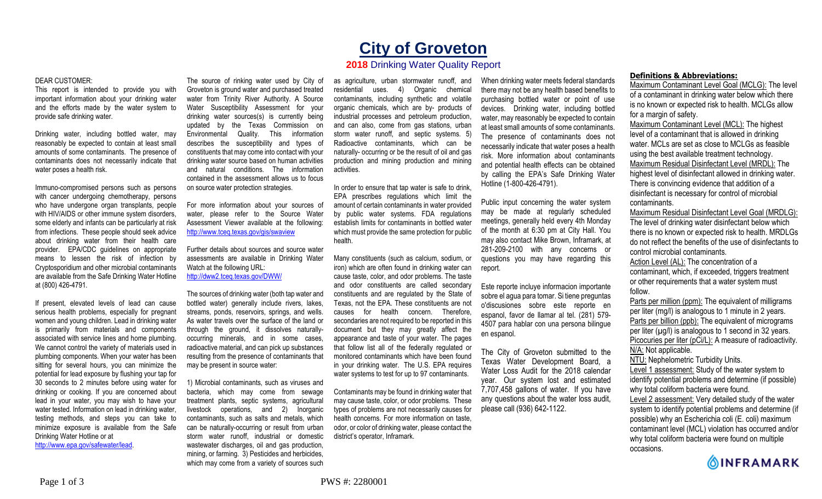# **City of Groveton**

# **2018** Drinking Water Quality Report

#### DEAR CUSTOMER:

This report is intended to provide you with important information about your drinking water and the efforts made by the water system to provide safe drinking water.

Drinking water, including bottled water, may reasonably be expected to contain at least small amounts of some contaminants. The presence of contaminants does not necessarily indicate that water poses a health risk.

Immuno-compromised persons such as persons with cancer undergoing chemotherapy, persons who have undergone organ transplants, people with HIV/AIDS or other immune system disorders, some elderly and infants can be particularly at risk from infections. These people should seek advice about drinking water from their health care provider. EPA/CDC guidelines on appropriate means to lessen the risk of infection by Cryptosporidium and other microbial contaminants are available from the Safe Drinking Water Hotline at (800) 426-4791.

If present, elevated levels of lead can cause serious health problems, especially for pregnant women and young children. Lead in drinking water is primarily from materials and components associated with service lines and home plumbing. We cannot control the variety of materials used in plumbing components. When your water has been sitting for several hours, you can minimize the potential for lead exposure by flushing your tap for 30 seconds to 2 minutes before using water for drinking or cooking. If you are concerned about lead in your water, you may wish to have your water tested. Information on lead in drinking water, testing methods, and steps you can take to minimize exposure is available from the Safe Drinking Water Hotline or at http://www.epa.gov/safewater/lead.

The source of rinking water used by City of Groveton is ground water and purchased treated water from Trinity River Authority. A Source Water Susceptibility Assessment for your drinking water sources(s) is currently being updated by the Texas Commission on Environmental Quality. This information describes the susceptibility and types of constituents that may come into contact with your drinking water source based on human activities and natural conditions. The information contained in the assessment allows us to focus on source water protection strategies.

For more information about your sources of water, please refer to the Source Water Assessment Viewer available at the following: http://www.tceq.texas.gov/gis/swaview

Further details about sources and source water assessments are available in Drinking Water Watch at the following URL: http://dww2.tceq.texas.gov/DWW/

The sources of drinking water (both tap water and bottled water) generally include rivers, lakes, streams, ponds, reservoirs, springs, and wells. As water travels over the surface of the land or through the ground, it dissolves naturallyoccurring minerals, and in some cases, radioactive material, and can pick up substances resulting from the presence of contaminants that may be present in source water:

1) Microbial contaminants, such as viruses and bacteria, which may come from sewage treatment plants, septic systems, agricultural livestock operations, and 2) Inorganic contaminants, such as salts and metals, which can be naturally-occurring or result from urban storm water runoff, industrial or domestic wastewater discharges, oil and gas production, mining, or farming. 3) Pesticides and herbicides, which may come from a variety of sources such

as agriculture, urban stormwater runoff, and residential uses. 4) Organic chemical contaminants, including synthetic and volatile organic chemicals, which are by- products of industrial processes and petroleum production, and can also, come from gas stations, urban storm water runoff, and septic systems. 5) Radioactive contaminants, which can be naturally- occurring or be the result of oil and gas production and mining production and mining activities.

In order to ensure that tap water is safe to drink, EPA prescribes regulations which limit the amount of certain contaminants in water provided by public water systems. FDA regulations establish limits for contaminants in bottled water which must provide the same protection for public health.

Many constituents (such as calcium, sodium, or iron) which are often found in drinking water can cause taste, color, and odor problems. The taste and odor constituents are called secondary constituents and are regulated by the State of Texas, not the EPA. These constituents are not causes for health concern. Therefore, secondaries are not required to be reported in this document but they may greatly affect the appearance and taste of your water. The pages that follow list all of the federally regulated or monitored contaminants which have been found in your drinking water. The U.S. EPA requires water systems to test for up to 97 contaminants.

Contaminants may be found in drinking water that may cause taste, color, or odor problems. These types of problems are not necessarily causes for health concerns. For more information on taste, odor, or color of drinking water, please contact the district's operator, Inframark.

When drinking water meets federal standards there may not be any health based benefits to purchasing bottled water or point of use devices. Drinking water, including bottled water, may reasonably be expected to contain at least small amounts of some contaminants. The presence of contaminants does not necessarily indicate that water poses a health risk. More information about contaminants and potential health effects can be obtained by calling the EPA's Safe Drinking Water Hotline (1-800-426-4791).

Public input concerning the water system may be made at regularly scheduled meetings, generally held every 4th Monday of the month at 6:30 pm at City Hall. You may also contact Mike Brown, Inframark, at 281-209-2100 with any concerns or questions you may have regarding this report.

Este reporte incluye informacion importante sobre el agua para tomar. Si tiene preguntas o'discusiones sobre este reporte en espanol, favor de llamar al tel. (281) 579- 4507 para hablar con una persona bilingue en espanol.

The City of Groveton submitted to the Texas Water Development Board, a Water Loss Audit for the 2018 calendar year. Our system lost and estimated 7,707,458 gallons of water. If you have any questions about the water loss audit, please call (936) 642-1122.

## **Definitions & Abbreviations:**

Maximum Contaminant Level Goal (MCLG): The level of a contaminant in drinking water below which there is no known or expected risk to health. MCLGs allow for a margin of safety.

Maximum Contaminant Level (MCL): The highest level of a contaminant that is allowed in drinking water. MCLs are set as close to MCLGs as feasible using the best available treatment technology. Maximum Residual Disinfectant Level (MRDL): The highest level of disinfectant allowed in drinking water. There is convincing evidence that addition of a disinfectant is necessary for control of microbial contaminants.

Maximum Residual Disinfectant Level Goal (MRDLG): The level of drinking water disinfectant below which there is no known or expected risk to health. MRDLGs do not reflect the benefits of the use of disinfectants to control microbial contaminants.

Action Level (AL): The concentration of a contaminant, which, if exceeded, triggers treatment or other requirements that a water system must follow.

Parts per million (ppm): The equivalent of milligrams per liter (mg/l) is analogous to 1 minute in 2 years. Parts per billion (ppb): The equivalent of micrograms per liter  $(\mu g/l)$  is analogous to 1 second in 32 years. Picocuries per liter (pCi/L): A measure of radioactivity. N/A: Not applicable. NTU: Nephelometric Turbidity Units. Level 1 assessment: Study of the water system to identify potential problems and determine (if possible) why total coliform bacteria were found.

Level 2 assessment: Very detailed study of the water system to identify potential problems and determine (if possible) why an Escherichia coli (E. coli) maximum contaminant level (MCL) violation has occurred and/or why total coliform bacteria were found on multiple occasions.

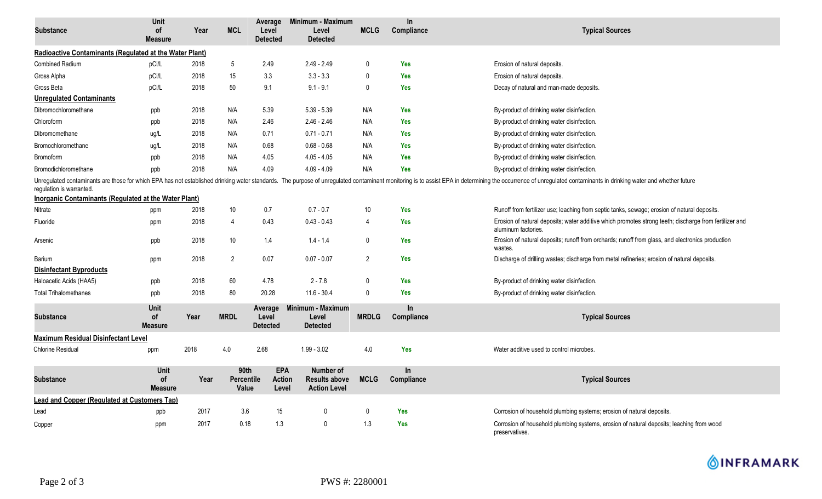| <b>Substance</b>                                                                                                                                                                                                                                           | Unit<br>οf<br><b>Measure</b>        | Year | <b>MCL</b>                  | Average<br>Level<br><b>Detected</b> | Minimum - Maximum<br>Level<br><b>Detected</b>            | <b>MCLG</b>    | $\ln$<br>Compliance | <b>Typical Sources</b>                                                                                                        |  |  |  |
|------------------------------------------------------------------------------------------------------------------------------------------------------------------------------------------------------------------------------------------------------------|-------------------------------------|------|-----------------------------|-------------------------------------|----------------------------------------------------------|----------------|---------------------|-------------------------------------------------------------------------------------------------------------------------------|--|--|--|
| Radioactive Contaminants (Regulated at the Water Plant)                                                                                                                                                                                                    |                                     |      |                             |                                     |                                                          |                |                     |                                                                                                                               |  |  |  |
| <b>Combined Radium</b>                                                                                                                                                                                                                                     | pCi/L                               | 2018 | 5                           | 2.49                                | $2.49 - 2.49$                                            | $\mathbf{0}$   | <b>Yes</b>          | Erosion of natural deposits.                                                                                                  |  |  |  |
| Gross Alpha                                                                                                                                                                                                                                                | pCi/L                               | 2018 | 15                          | 3.3                                 | $3.3 - 3.3$                                              | $\Omega$       | <b>Yes</b>          | Erosion of natural deposits.                                                                                                  |  |  |  |
| Gross Beta                                                                                                                                                                                                                                                 | pCi/L                               | 2018 | 50                          | 9.1                                 | $9.1 - 9.1$                                              | $\mathbf{0}$   | <b>Yes</b>          | Decay of natural and man-made deposits.                                                                                       |  |  |  |
| <b>Unregulated Contaminants</b>                                                                                                                                                                                                                            |                                     |      |                             |                                     |                                                          |                |                     |                                                                                                                               |  |  |  |
| Dibromochloromethane                                                                                                                                                                                                                                       | ppb                                 | 2018 | N/A                         | 5.39                                | $5.39 - 5.39$                                            | N/A            | <b>Yes</b>          | By-product of drinking water disinfection.                                                                                    |  |  |  |
| Chloroform                                                                                                                                                                                                                                                 | ppb                                 | 2018 | N/A                         | 2.46                                | $2.46 - 2.46$                                            | N/A            | <b>Yes</b>          | By-product of drinking water disinfection.                                                                                    |  |  |  |
| Dibromomethane                                                                                                                                                                                                                                             | ug/L                                | 2018 | N/A                         | 0.71                                | $0.71 - 0.71$                                            | N/A            | Yes                 | By-product of drinking water disinfection.                                                                                    |  |  |  |
| Bromochloromethane                                                                                                                                                                                                                                         | ug/L                                | 2018 | N/A                         | 0.68                                | $0.68 - 0.68$                                            | N/A            | <b>Yes</b>          | By-product of drinking water disinfection.                                                                                    |  |  |  |
| Bromoform                                                                                                                                                                                                                                                  | ppb                                 | 2018 | N/A                         | 4.05                                | $4.05 - 4.05$                                            | N/A            | <b>Yes</b>          | By-product of drinking water disinfection.                                                                                    |  |  |  |
| Bromodichloromethane                                                                                                                                                                                                                                       | ppb                                 | 2018 | N/A                         | 4.09                                | $4.09 - 4.09$                                            | N/A            | <b>Yes</b>          | By-product of drinking water disinfection.                                                                                    |  |  |  |
| Unregulated contaminants are those for which EPA has not established drinking water standards. The purpose of unregulated contaminant monitoring is to assist EPA in determining the occurrence of unregulated contaminants in<br>regulation is warranted. |                                     |      |                             |                                     |                                                          |                |                     |                                                                                                                               |  |  |  |
| Inorganic Contaminants (Regulated at the Water Plant)                                                                                                                                                                                                      |                                     |      |                             |                                     |                                                          |                |                     |                                                                                                                               |  |  |  |
| Nitrate                                                                                                                                                                                                                                                    | ppm                                 | 2018 | 10                          | 0.7                                 | $0.7 - 0.7$                                              | 10             | <b>Yes</b>          | Runoff from fertilizer use; leaching from septic tanks, sewage; erosion of natural deposits.                                  |  |  |  |
| Fluoride                                                                                                                                                                                                                                                   | ppm                                 | 2018 | 4                           | 0.43                                | $0.43 - 0.43$                                            | 4              | <b>Yes</b>          | Erosion of natural deposits; water additive which promotes strong teeth; discharge from fertilizer and<br>aluminum factories. |  |  |  |
| Arsenic                                                                                                                                                                                                                                                    | ppb                                 | 2018 | 10                          | 1.4                                 | $1.4 - 1.4$                                              | $\mathbf 0$    | <b>Yes</b>          | Erosion of natural deposits; runoff from orchards; runoff from glass, and electronics production<br>wastes.                   |  |  |  |
| Barium                                                                                                                                                                                                                                                     | ppm                                 | 2018 | $\overline{2}$              | 0.07                                | $0.07 - 0.07$                                            | $\overline{2}$ | <b>Yes</b>          | Discharge of drilling wastes; discharge from metal refineries; erosion of natural deposits.                                   |  |  |  |
| <b>Disinfectant Byproducts</b>                                                                                                                                                                                                                             |                                     |      |                             |                                     |                                                          |                |                     |                                                                                                                               |  |  |  |
| Haloacetic Acids (HAA5)                                                                                                                                                                                                                                    | ppb                                 | 2018 | 60                          | 4.78                                | $2 - 7.8$                                                | $\mathbf{0}$   | <b>Yes</b>          | By-product of drinking water disinfection.                                                                                    |  |  |  |
| <b>Total Trihalomethanes</b>                                                                                                                                                                                                                               | ppb                                 | 2018 | 80                          | 20.28                               | $11.6 - 30.4$                                            | $\Omega$       | <b>Yes</b>          | By-product of drinking water disinfection.                                                                                    |  |  |  |
| <b>Substance</b>                                                                                                                                                                                                                                           | Unit<br><b>of</b><br><b>Measure</b> | Year | <b>MRDL</b>                 | Average<br>Level<br><b>Detected</b> | Minimum - Maximum<br>Level<br><b>Detected</b>            | <b>MRDLG</b>   | In.<br>Compliance   | <b>Typical Sources</b>                                                                                                        |  |  |  |
| <b>Maximum Residual Disinfectant Level</b>                                                                                                                                                                                                                 |                                     |      |                             |                                     |                                                          |                |                     |                                                                                                                               |  |  |  |
| <b>Chlorine Residual</b>                                                                                                                                                                                                                                   | ppm                                 | 2018 | 4.0                         | 2.68                                | $1.99 - 3.02$                                            | 4.0            | <b>Yes</b>          | Water additive used to control microbes.                                                                                      |  |  |  |
| <b>Substance</b>                                                                                                                                                                                                                                           | <b>Unit</b><br>οf<br><b>Measure</b> | Year | 90th<br>Percentile<br>Value | <b>EPA</b><br>Action<br>Level       | Number of<br><b>Results above</b><br><b>Action Level</b> | <b>MCLG</b>    | In<br>Compliance    | <b>Typical Sources</b>                                                                                                        |  |  |  |
| <b>Lead and Copper (Regulated at Customers Tap)</b>                                                                                                                                                                                                        |                                     |      |                             |                                     |                                                          |                |                     |                                                                                                                               |  |  |  |
| Lead                                                                                                                                                                                                                                                       | ppb                                 | 2017 | 3.6                         | 15                                  | 0                                                        | $\mathbf{0}$   | <b>Yes</b>          | Corrosion of household plumbing systems; erosion of natural deposits.                                                         |  |  |  |
| Copper                                                                                                                                                                                                                                                     | ppm                                 | 2017 | 0.18                        | 1.3                                 | 0                                                        | 1.3            | <b>Yes</b>          | Corrosion of household plumbing systems, erosion of natural deposits; leaching from wood<br>preservatives.                    |  |  |  |